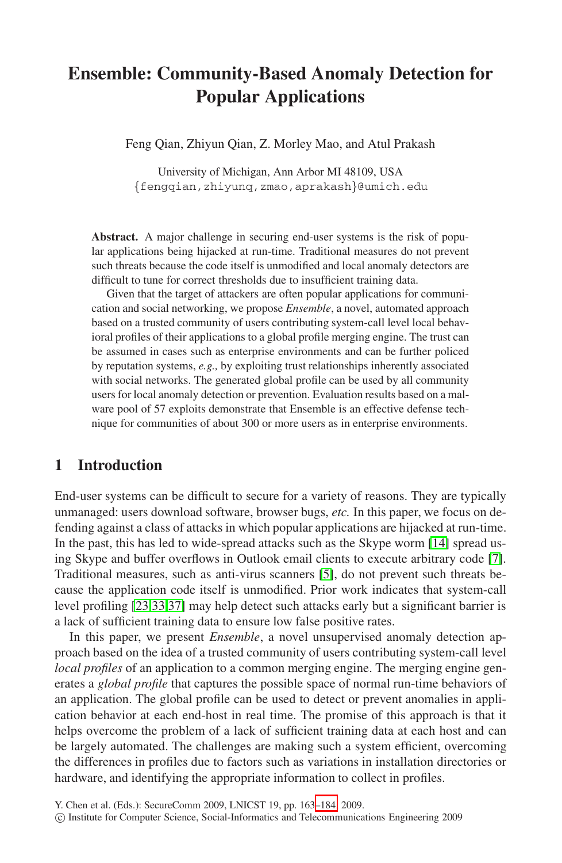# **Ensemble: Community-Based Anomaly Detection for Popular Applications**

Feng Qian, Zhiyun Qian, Z. Morley Mao, and Atul Prakash

University of Michigan, Ann Arbor MI 48109, USA {fengqian,zhiyunq,zmao,aprakash}@umich.edu

**Abstract.** A major challenge in securing end-user systems is the risk of popular applications being hijacked at run-time. Traditional measures do not prevent such threats because the code itself is unmodified and local anomaly detectors are difficult to tune for correct thresholds due to insufficient training data.

Given that the target of attackers are often popular applications for communication and social networking, we propose *Ensemble*, a novel, automated approach based on a trusted community of users contributing system-call level local behavioral profiles of their applications to a global profile merging engine. The trust can be assumed in cases such as enterprise environments and can be further policed by reputation systems, *e.g.,* by exploiting trust relationships inherently associated with social networks. The generated global profile can be used by all community users for local anomaly detection or prevention. Evaluation results based on a malware pool of 57 exploits demonstrate that Ensemble is an effective defense technique for communities of about 300 or more user[s as](#page-20-0) in enterprise environments.

# **1 Introduction**

[E](#page-21-0)[nd](#page-21-1)-user systems can be difficult to secure for a variety of reasons. They are typically unmanaged: users download software, browser bugs, *etc.* In this paper, we focus on defending against a class of attacks in which popular applications are hijacked at run-time. In the past, this has led to wide-spread attacks such as the Skype worm [14] spread using Skype and buffer overflows in Outlook email clients to execute arbitrary code [7]. Traditional measures, such as anti-virus scanners [5], do not prevent such threats because the application code itself is unmodified. Prior work indicates that system-call level profiling [23,33,37] may help detect such attacks early but a significant barrier is a lack of sufficient training data to ensure low false positive rates.

In this paper, we present *Ensemble*, a novel unsupervised anomaly detection approach based on the idea of a trusted community of users contributing system-call level *local profiles* of an application to a common merging engine. The merging engine generates a *global profile* that ca[pture](#page-21-2)s the possible space of normal run-time behaviors of an application. The global profile can be used to detect or prevent anomalies in application behavior at each end-host in real time. The promise of this approach is that it helps overcome the problem of a lack of sufficient training data at each host and can be largely automated. The challenges are making such a system efficient, overcoming the differences in profiles due to factors such as variations in installation directories or hardware, and identifying the appropriate information to collect in profiles.

Y. Chen et al. (Eds.): SecureComm 2009, LNICST 19, pp. 163–184, 2009.

<sup>-</sup>c Institute for Computer Science, Social-Informatics and Telecommunications Engineering 2009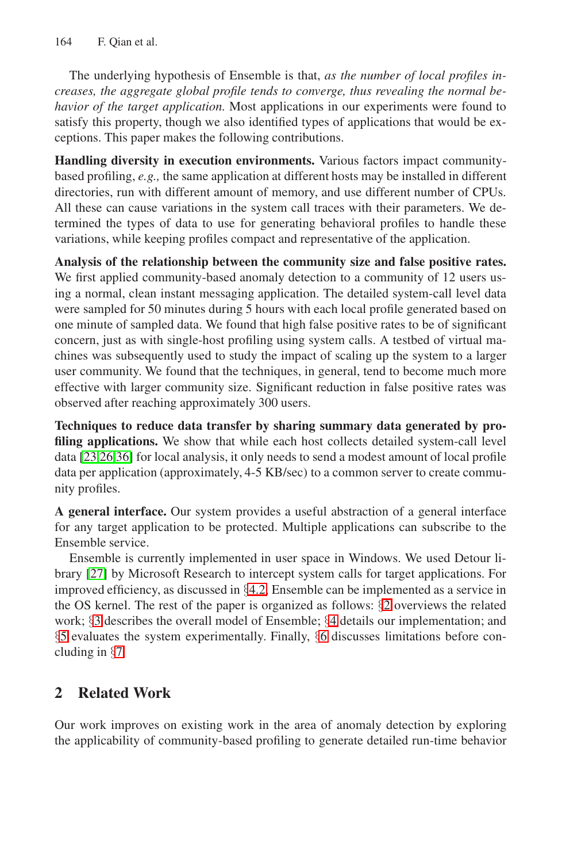The underlying hypothesis of Ensemble is that, *as the number of local profiles increases, the aggregate global profile tends to converge, thus revealing the normal behavior of the target application.* Most applications in our experiments were found to satisfy this property, though we also identified types of applications that would be exceptions. This paper makes the following contributions.

**Handling diversity in execution environments.** Various factors impact communitybased profiling, *e.g.,* the same application at different hosts may be installed in different directories, run with different amount of memory, and use different number of CPUs. All these can cause variations in the system call traces with their parameters. We determined the types of data to use for generating behavioral profiles to handle these variations, while keeping profiles compact and representative of the application.

**Analysis of the relationship between the community size and false positive rates.** We first applied community-based anomaly detection to a community of 12 users using a normal, clean instant messaging application. The detailed system-call level data were sampled for 50 minutes during 5 hours with each local profile generated based on one minute of sampled data. We found that high false positive rates to be of significant concern, just as with single-host profiling using system calls. A testbed of virtual machines was subsequently used to study the impact of scaling up the system to a larger user community. We found that the techniques, in general, tend to become much more effective with larger community size. Significant reduction in false positive rates was observed after reaching approximately 300 users.

**Techniques to reduce data transfer by sharing summary data generated by profiling applications.** We show that while each host collects detailed system-call level data [23,26,36] for local analysis, it only needs to send a modest amount of local profile data per applicat[ion](#page-8-0) (approximately, 4-5 K[B/](#page-1-0)sec) to a common server to create community profiles.

**A general interface.** Our sy[ste](#page-19-0)[m](#page-7-0) provides a useful abstraction of a general interface for any target application to be protected. Multiple applications can subscribe to the Ensemble service.

<span id="page-1-0"></span>Ensemble is currently implemented in user space in Windows. We used Detour library [27] by Microsoft Research to intercept system calls for target applications. For improved efficiency, as discussed in §4.2, Ensemble can be implemented as a service in the OS kernel. The rest of the paper is organized as follows: §2 overviews the related work; §3 describes the overall model of Ensemble; §4 details our implementation; and §5 evaluates the system experimentally. Finally, §6 discusses limitations before concluding in §7.

# **2 Related Work**

Our work improves on existing work in the area of anomaly detection by exploring the applicability of community-based profiling to generate detailed run-time behavior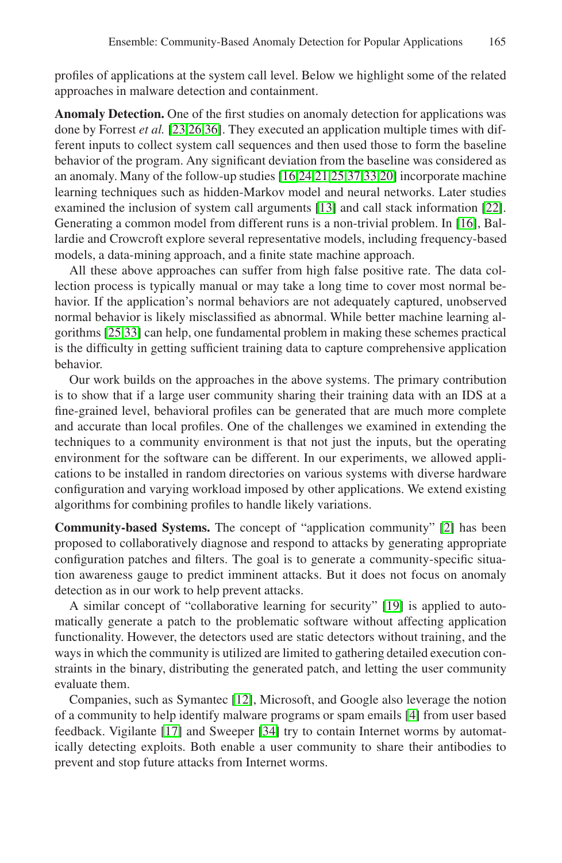profiles of applications at the system call level. Below we hig[hlig](#page-21-3)ht some of the related approaches in malware detect[ion](#page-20-1) and containment.

**Anomaly Detection.** One of the first studies on anomaly [det](#page-20-2)ection for applications was done by Forrest *et al.* [23,26,36]. They executed an application multiple times with different inputs to collect system call sequences and then used those to form the baseline behavior of the program. Any significant deviation from the baseline was considered as an anomaly. Many of the follow-up studies [16,24,21,25,37,33,20] incorporate machine learning techniques such as hidden-Markov model and neural networks. Later studies examined the inclusion of system call arguments [13] and call stack information [22]. Generating a common model from different runs is a non-trivial problem. In [16], Ballardie and Crowcroft explore several representative models, including frequency-based models, a data-mining approach, and a finite state machine approach.

All these above approaches can suffer from high false positive rate. The data collection process is typically manual or may take a long time to cover most normal behavior. If the application's normal behaviors are not adequately captured, unobserved normal behavior is likely misclassified as abnormal. While better machine learning algorithms [25,33] can help, one fundamental problem in making these schemes practical is the difficulty in getting sufficient training data to capture comprehensive application behavior.

Our work builds on the approaches in the above systems. The primary contribution is to show that if a large user community sharing their training data with an IDS at a fine-grained level, behavioral profiles can be generat[ed](#page-20-3) that are much more complete and accurate than local profiles. One of the challenges we examined in extending the techniques to a community environment is that not just the inputs, but the operating environment for the software can be different. In our experiments, we allowed applications to be installed in random directories on various systems with diverse hardware configuration and varying workload impos[ed](#page-21-4) [b](#page-21-4)y other applications. We extend existing algorithms for combining profiles to handle likely variations.

**Community-based Systems.** The concept of "application community" [2] has been proposed to collaboratively diagnose and respond to attacks by generating appropriate configuration patches and filters. The goal is to generate a community-specific situation awarene[ss g](#page-20-4)auge to predict imminent attacks. But it does not focus on anomaly detection as in our work to help prevent attack[s.](#page-20-5)

[A](#page-21-5) similar conc[ept](#page-21-6) of "collaborative learning for security" [19] is applied to automatically generate a patch to the problematic software without affecting application functionality. However, the detectors used are static detectors without training, and the ways in which the community is utilized are limited to gathering detailed execution constraints in the binary, distributing the generated patch, and letting the user community evaluate them.

Companies, such as Symantec [12], Microsoft, and Google also leverage the notion of a community to help identify malware programs or spam emails [4] from user based feedback. Vigilante [17] and Sweeper [34] try to contain Internet worms by automatically detecting exploits. Both enable a user community to share their antibodies to prevent and stop future attacks from Internet worms.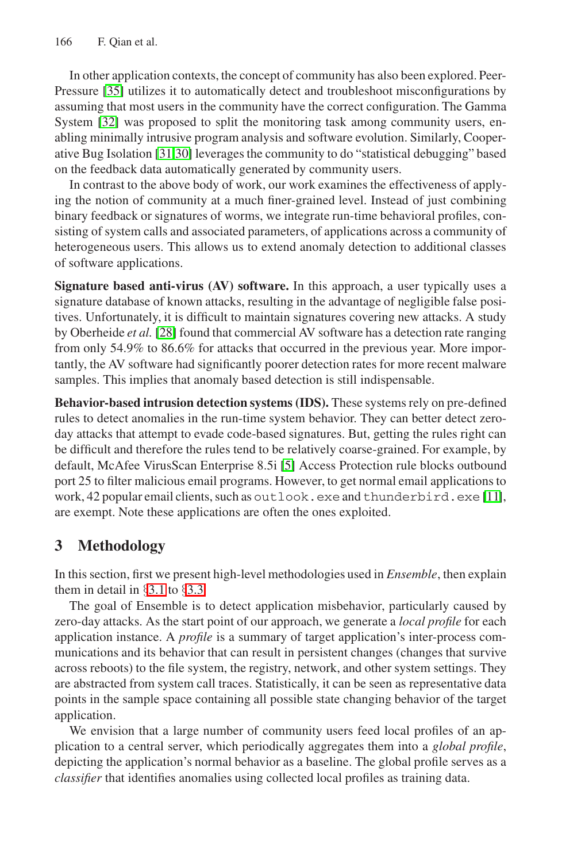In other application contexts, the concept of community has also been explored. Peer-Pressure [35] utilizes it to automatically detect and troubleshoot misconfigurations by assuming that most users in the community have the correct configuration. The Gamma System [32] was proposed to split the monitoring task among community users, enabling minimally intrusive program analysis and software evolution. Similarly, Cooperative Bug Isolation [31,30] leverages the community to do "statistical debugging" based on the feedback data automatically generated by community users.

In contrast to the above body of work, our work examines the effectiveness of applying the notion of community at a much finer-grained level. Instead of just combining [bin](#page-21-9)ary feedback or signatures of worms, we integrate run-time behavioral profiles, consisting of system calls and associated parameters, of applications across a community of heterogeneous users. This allows us to extend anomaly detection to additional classes of software applications.

**Signature based anti-virus (AV) software.** In this approach, a user typically uses a signature database of known attacks, resulting in the advantage of negligible false positives. Unfortunately, it is difficult to maintain signatures covering new attacks. A study by Oberheide *et al.* [28] found that commercial AV software has a detection rate ranging from only 54.9% to 86[.6%](#page-20-6) for attacks that occurred in the previous year. More importantly, the AV software had significantly poorer detection rates for more recent malware samples. This implies that anomaly based detection is still ind[ispe](#page-20-7)nsable.

**Behavior-based intrusion detection systems (IDS).** These systems rely on pre-defined rules to detect anomalies in the run-time system behavior. They can better detect zeroday attacks that attempt to evade code-based signatures. But, getting the rules right can be difficult and therefore the rules tend to be relatively coarse-grained. For example, by [d](#page-4-0)efa[ult, M](#page-5-0)cAfee VirusScan Enterprise 8.5i [5] Access Protection rule blocks outbound port 25 to filter malicious email programs. However, to get normal email applications to work, 42 popular email clients, such as outlook. exe and thunderbird.  $exe [11]$ , are exempt. Note these applications are often the ones exploited.

### **3 Methodology**

In this section, first we present high-level methodologies used in *Ensemble*, then explain them in detail in §3.1 to §3.3.

The goal of Ensemble is to detect application misbehavior, particularly caused by zero-day attacks. As the start point of our approach, we generate a *local profile* for each application instance. A *profile* is a summary of target application's inter-process communications and its behavior that can result in persistent changes (changes that survive across reboots) to the file system, the registry, network, and other system settings. They are abstracted from system call traces. Statistically, it can be seen as representative data points in the sample space containing all possible state changing behavior of the target application.

We envision that a large number of community users feed local profiles of an application to a central server, which periodically aggregates them into a *global profile*, depicting the application's normal behavior as a baseline. The global profile serves as a *classifier* that identifies anomalies using collected local profiles as training data.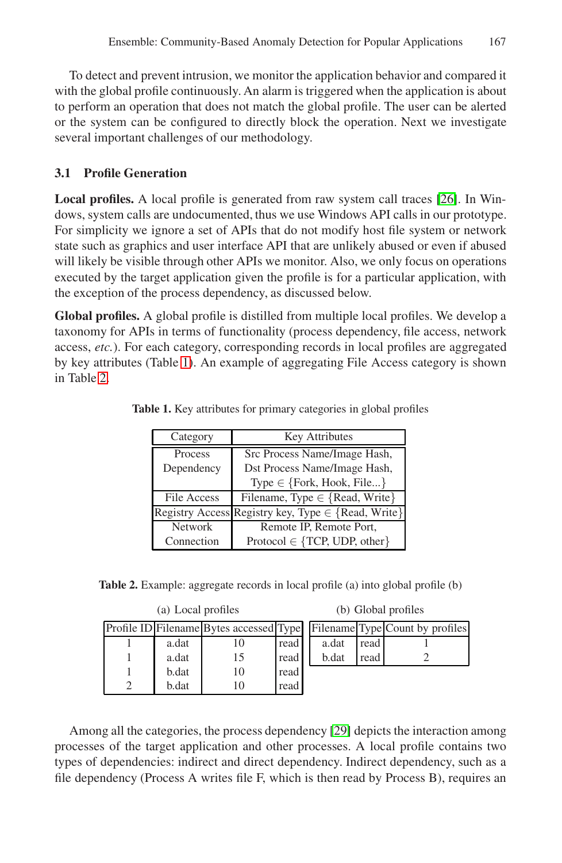<span id="page-4-0"></span>To detect and prevent intrusion, we monitor the ap[plic](#page-21-10)ation behavior and compared it with the global profile continuously. An alarm is triggered when the application is about to perform an operation that does not match the global profile. The user can be alerted or the system can be configured to directly block the operation. Next we investigate several important challenges of our methodology.

#### **3.1 Profile Generation**

**Local profiles.** A local profile is generated from raw system call traces [26]. In Windows, system calls are undocumented, thus we use Windows API calls in our prototype. For simplicity we ignore a set of APIs that do not modify host file system or network stat[e](#page-4-1) [s](#page-4-1)uch as graphics and user interface API that are unlikely abused or even if abused will likely be visible through other APIs we monitor. Also, we only focus on operations executed by the target application given the profile is for a particular application, with the exception of the process dependency, as discussed below.

<span id="page-4-1"></span>**Global profiles.** A global profile is distilled from multiple local profiles. We develop a taxonomy for APIs in terms of functionality (process dependency, file access, network access, *etc.*). For each category, corresponding records in local profiles are aggregated by key attributes (Table 1). An example of aggregating File Access category is shown in Table 2.

<span id="page-4-2"></span>

| Category       | <b>Key Attributes</b>                                  |
|----------------|--------------------------------------------------------|
| Process        | Src Process Name/Image Hash,                           |
| Dependency     | Dst Process Name/Image Hash,                           |
|                | Type $\in$ {Fork, Hook, File}                          |
| File Access    | Filename, Type $\in$ {Read, Write}                     |
|                | Registry Access Registry key, Type $\in$ {Read, Write} |
| <b>Network</b> | Remote IP. Remote Port.                                |
| Connection     | Protocol $\in$ {TCP, UDP, other}                       |

**Table 1.** Key attributes for primary categories in global profiles

**Table 2.** Example: aggregate records in local profile (a) into global profile (b)

|               | (a) Local profiles |                                         | (b) Global profiles |       |      |                                 |
|---------------|--------------------|-----------------------------------------|---------------------|-------|------|---------------------------------|
|               |                    | Profile ID Filename Bytes accessed Type |                     |       |      | Filename Type Count by profiles |
|               | a.dat              | 10                                      | read                | a.dat | read |                                 |
|               | a.dat              | 15                                      | read                | b.dat | read |                                 |
|               | b.dat              | 10                                      | read                |       |      |                                 |
| $\mathcal{D}$ | b.dat              |                                         | read                |       |      |                                 |

Among all the categories, the process dependency [29] depicts the interaction among processes of the target application and other processes. A local profile contains two types of dependencies: indirect and direct dependency. Indirect dependency, such as a file dependency (Process A writes file F, which is then read by Process B), requires an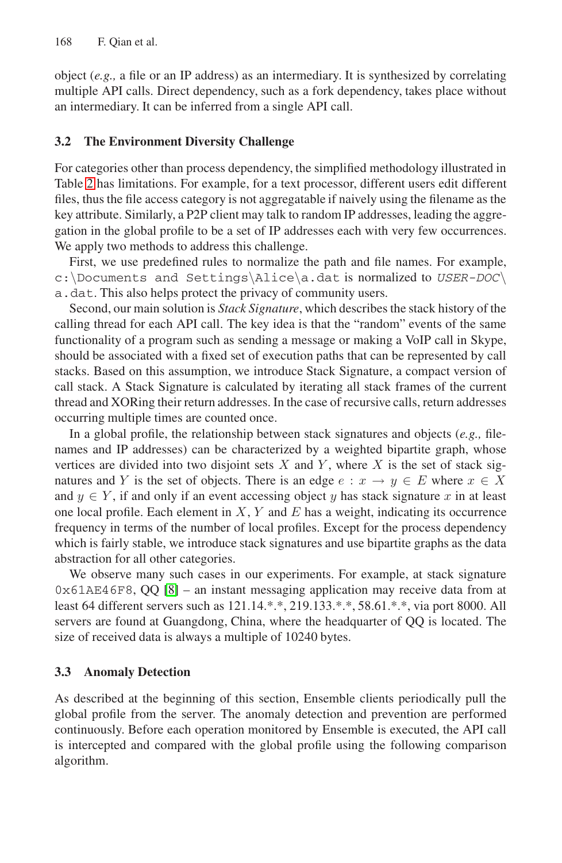<span id="page-5-1"></span>object (*e.g.,* a file or an IP address) as an intermediary. It is synthesized by correlating multiple API calls. Direct dependency, such as a fork dependency, takes place without an intermediary. It can be inferred from a single API call.

#### **3.2 The Environment Diversity Challenge**

For categories other than process dependency, the simplified methodology illustrated in Table 2 has limitations. For example, for a text processor, different users edit different files, thus the file access category is not aggregatable if naively using the filename as the key attribute. Similarly, a P2P client may talk to random IP addresses, leading the aggregation in the global profile to be a set of IP addresses each with very few occurrences. We apply two methods to address this challenge.

First, we use predefined rules to normalize the path and file names. For example, c:\Documents and Settings\Alice\a.dat is normalized to USER-DOC\ a.dat. This also helps protect the privacy of community users.

Second, our main solution is *Stack Signature*, which describes the stack history of the calling thread for each API call. The key idea is that the "random" events of the same functionality of a program such as sending a message or making a VoIP call in Skype, should be associated with a fixed set of execution paths that can be represented by call stacks. Based on this assumption, we introduce Stack Signature, a compact version of call stack. A Stack Signature is calculated by iterating all stack frames of the current thread and XORing their return addresses. In the case of recursive calls, return addresses occurring multiple times are counted once.

In a global profile, the relationship between stack signatures and objects (*e.g.,* filenames and IP addresses) can be characterized by a weighted bipartite graph, whose [ver](#page-20-8)tices are divided into two disjoint sets  $X$  and  $Y$ , where  $X$  is the set of stack signatures and *Y* is the set of objects. There is an edge  $e : x \to y \in E$  where  $x \in X$ and  $y \in Y$ , if and only if an event accessing object *y* has stack signature *x* in at least one local profile. Each element in *X*, *Y* and *E* has a weight, indicating its occurrence frequency in terms of the number of local profiles. Except for the process dependency which is fairly stable, we introduce stack signatures and use bipartite graphs as the data abstraction for all other categories.

<span id="page-5-0"></span>We observe many such cases in our experiments. For example, at stack signature 0x61AE46F8, QQ [8] – an instant messaging application may receive data from at least 64 different servers such as 121.14.\*.\*, 219.133.\*.\*, 58.61.\*.\*, via port 8000. All servers are found at Guangdong, China, where the headquarter of QQ is located. The size of received data is always a multiple of 10240 bytes.

### **3.3 Anomaly Detection**

As described at the beginning of this section, Ensemble clients periodically pull the global profile from the server. The anomaly detection and prevention are performed continuously. Before each operation monitored by Ensemble is executed, the API call is intercepted and compared with the global profile using the following comparison algorithm.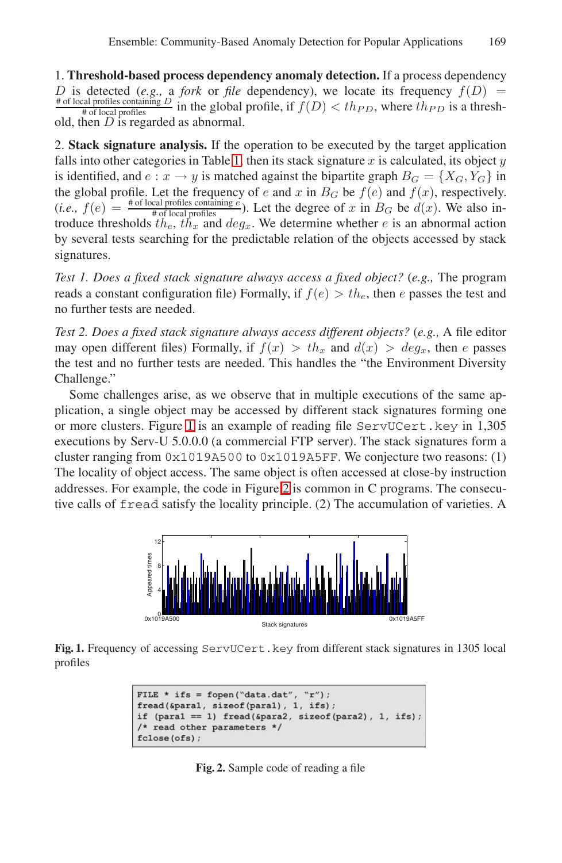1. **Threshold-based process dependency anomaly detection.** If a process dependency D is detected (e.g., a *fork* or *file* dependency), we locate its frequency  $f(D) =$ <br>  $\frac{\text{\# of local profiles containing } D}{\text{\# of local profiles}}$  in the global profile, if  $f(D) < th_{PD}$ , where  $th_{PD}$  is a thresh-<sup>#</sup> of local profiles <sup>in</sup> the global<br>old, then *D* is regarded as abnormal.

2. **Stack signature analysis.** If the operation to be executed by the target application falls into other categories in Table 1, then its stack signature  $x$  is calculated, its object  $y$ is identified, and  $e: x \to y$  is matched against the bipartite graph  $B_G = \{X_G, Y_G\}$  in the global profile. Let the frequency of *e* and *x* in  $B_G$  be  $f(e)$  and  $f(x)$ , respectively.  $(i.e., f(e) = \frac{\text{\# of local profiles containing } e}{\text{\# of local profiles}}$ . Let the degree of *x* in *B<sub>G</sub>* be  $d(x)$ . We also introduce thresholds  $th_e$ ,  $th_x$  and  $deg_x$ . We determine whether *e* is an abnormal action by several tests searching for the predictable relation of the objects accessed by stack signatures.

*Test 1. Does a fixed stack signature always access a fixed object?* (*e.g.,* The program reads a constant configuration file) Formally, if  $f(e) > th_e$ , then *e* passes the test and no f[urt](#page-6-0)her tests are needed.

*Test 2. Does a fixed stack signature always access different objects?* (*e.g.,* A file editor may open different files) Formally, if  $f(x) > th_x$  and  $d(x) > deg_x$ , then *e* passes the test and no furthe[r te](#page-6-1)sts are needed. This handles the "the Environment Diversity Challenge."

Some challenges arise, as we observe that in multiple executions of the same application, a single object may be accessed by different stack signatures forming one or more clusters. Figure 1 is an example of reading file ServUCert.key in 1,305 executions by Serv-U 5.0.0.0 (a commercial FTP server). The stack signatures form a cluster ranging from 0x1019A500 to 0x1019A5FF. We conjecture two reasons: (1) The locality of object access. The same object is often accessed at close-by instruction addresses. For example, the code in Figure 2 is common in C programs. The consecutive calls of fread satisfy the locality principle. (2) The accumulation of varieties. A



<span id="page-6-0"></span>Fig. 1. Frequency of accessing ServUCert.key from different stack signatures in 1305 local profiles

```
FILE * ifs = fopen("data.dat", "r");
fread(&paral, sizeof(paral), 1, ifs);
if (para1 == 1) fread(apara2, sizeof(para2), 1, ifs);
/* read other parameters */
fclose(ofs);
```
**Fig. 2.** Sample code of reading a file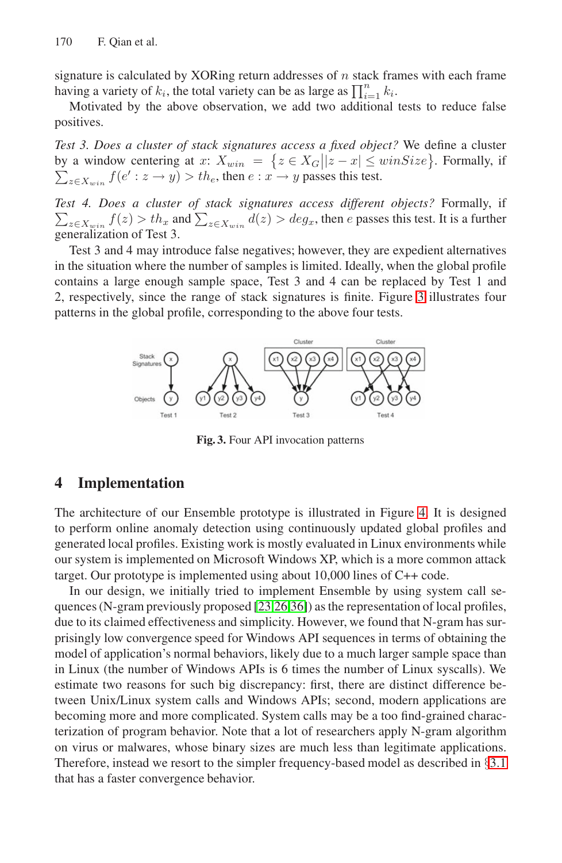signature is calculated by XORing return addresses of *n* stack frames with each frame having a variety of  $k_i$ , the total variety can be as large as  $\prod_{i=1}^n k_i$ .

Motivated by the above observation, we add two additional tests to reduce false positives.

*Test 3. Does a cluster of stack signatures access a fixed object?* We define a cluster by a window centering at *x*:  $X_{win} = \{z \in X_G | |z - x| \leq winSize\}$ <br> $\sum_{z \in X_{min}} f(e' : z \to y) > th_e$ , then  $e : x \to y$  passes this test. . Formally, if  $z \in X_{win}$   $f(e' : z \rightarrow y) > th_e$ , then  $e : x \rightarrow y$  [pas](#page-7-1)ses this test.

*Test 4. Does a cluster of stack signatures access different objects?* Formally, if  $\sum_{z \in X_{win}} f(z) > th_x$  and  $\sum_{z \in X_{win}} d(z) > deg_x$ , then *e* passes this test. It is a further generalization of Test 3.

<span id="page-7-0"></span>Test 3 and 4 may introduce false negatives; however, they are expedient alternatives in the situation where the number of samples is limited. Ideally, when the global profile contains a large enough sample space, Test 3 and 4 can be replaced by Test 1 and 2, respectively, since the range of stack signatures is finite. Figure 3 illustrates four patterns in the global profile, corresponding to the above four tests.

<span id="page-7-1"></span>

**Fig. 3.** Four API invocation patterns

### **4 Implemen[tat](#page-21-12)[ion](#page-21-10)**

The architecture of our Ensemble prototype is illustrated in Figure 4. It is designed to perform online anomaly detection using continuously updated global profiles and generated local profiles. Existing work is mostly evaluated in Linux environments while our system is implemented on Microsoft Windows XP, which is a more common attack target. Our prototype is implemented using about 10,000 lines of C++ code.

In our design, we initially tried to implement Ensemble by using system call sequences (N-gram previously proposed [23,26,36]) as the representation of local profiles, due to its claimed effectiveness and simplicity. However, we found that N-gram has surprisingly low convergence speed for Windows API sequences [in te](#page-4-0)rms of obtaining the model of application's normal behaviors, likely due to a much larger sample space than in Linux (the number of Windows APIs is 6 times the number of Linux syscalls). We estimate two reasons for such big discrepancy: first, there are distinct difference between Unix/Linux system calls and Windows APIs; second, modern applications are becoming more and more complicated. System calls may be a too find-grained characterization of program behavior. Note that a lot of researchers apply N-gram algorithm on virus or malwares, whose binary sizes are much less than legitimate applications. Therefore, instead we resort to the simpler frequency-based model as described in §3.1 that has a faster convergence behavior.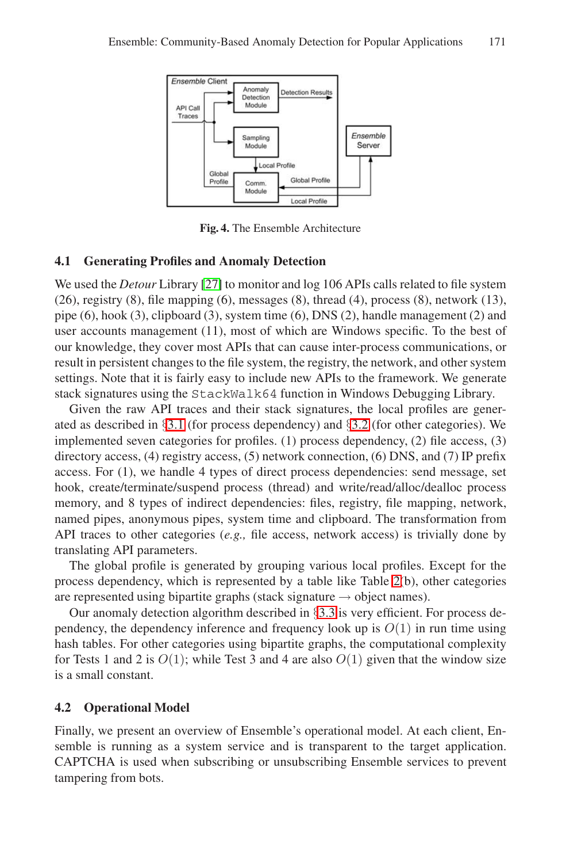

**Fig. 4.** The Ensemble Architecture

#### **4.1 Generating Profiles and Anomaly Detection**

We used the *Detour* Library [27] to monitor and log 106 APIs calls related to file system [\(26\),](#page-4-0) registry (8), file mapping (6), [mess](#page-5-1)ages (8), thread (4), process (8), network (13), pipe (6), hook (3), clipboard (3), system time (6), DNS (2), handle management (2) and user accounts management (11), most of which are Windows specific. To the best of our knowledge, they cover most APIs that can cause inter-process communications, or result in persistent changes to the file system, the registry, the network, and other system settings. Note that it is fairly easy to include new APIs to the framework. We generate stack signatures using the StackWalk64 function in Windows Debugging Library.

Given the raw API traces and their stack signatures, the local profiles are generated as described in §3.1 (for process dependency) and §3.2 (for other categories). We implemented seven categories for profiles. (1) process dependency, (2) file access, (3) directory access, (4) registry access, (5) net[wo](#page-4-2)rk connection, (6) DNS, and (7) IP prefix access. For (1), we handle 4 types of direct process dependencies: send message, set hook, create/terminate/suspe[nd p](#page-5-0)rocess (thread) and write/read/alloc/dealloc process memory, and 8 types of indirect dependencies: files, registry, file mapping, network, named pipes, anonymous pipes, system time and clipboard. The transformation from API traces to other categories (*e.g.,* file access, network access) is trivially done by translating API parameters.

<span id="page-8-0"></span>The global profile is generated by grouping various local profiles. Except for the process dependency, which is represented by a table like Table 2(b), other categories are represented using bipartite graphs (stack signature  $\rightarrow$  object names).

Our anomaly detection algorithm described in  $\S 3.3$  is very efficient. For process dependency, the dependency inference and frequency look up is  $O(1)$  in run time using hash tables. For other categories using bipartite graphs, the computational complexity for Tests 1 and 2 is  $O(1)$ ; while Test 3 and 4 are also  $O(1)$  given that the window size is a small constant.

#### **4.2 Operational Model**

Finally, we present an overview of Ensemble's operational model. At each client, Ensemble is running as a system service and is transparent to the target application. CAPTCHA is used when subscribing or unsubscribing Ensemble services to prevent tampering from bots.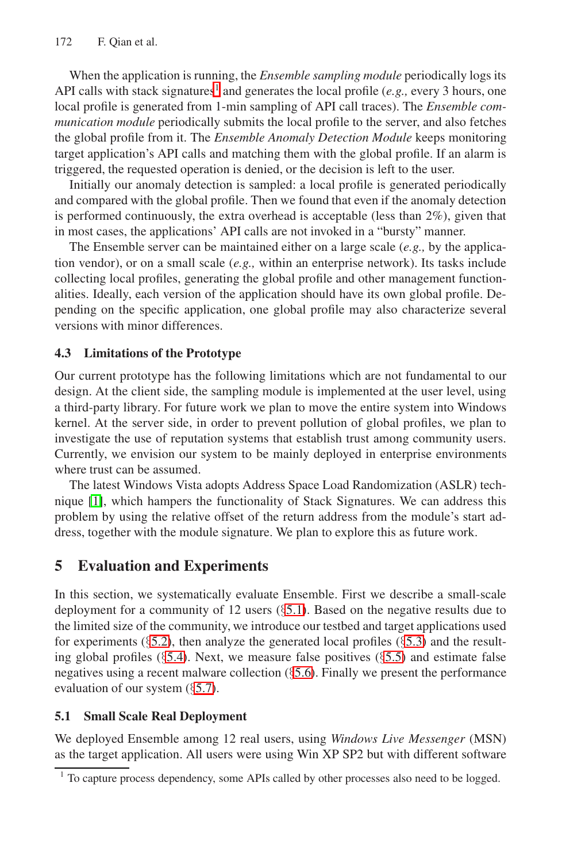When the application is running, the *Ensemble sampling module* periodically logs its API calls with stack signatures<sup>1</sup> and generates the local profile (*e.g.*, every 3 hours, one local profile is generated from 1-min sampling of API call traces). The *Ensemble communication module* periodically submits the local profile to the server, and also fetches the global profile from it. The *Ensemble Anomaly Detection Module* keeps monitoring target application's API calls and matching them with the global profile. If an alarm is triggered, the requested operation is denied, or the decision is left to the user.

Initially our anomaly detection is sampled: a local profile is generated periodically and compared with the global profile. Then we found that even if the anomaly detection is performed continuously, the extra overhead is acceptable (less than  $2\%)$ , given that in most cases, the applications' API calls are not invoked in a "bursty" manner.

The Ensemble server can be maintained either on a large scale (*e.g.,* by the application vendor), or on a small scale (*e.g.,* within an enterprise network). Its tasks include collecting local profiles, generating the global profile and other management functionalities. Ideally, each version of the application should have its own global profile. Depending on the specific application, one global profile may also characterize several versions with minor differences.

### **4.3 Limitations of the Prototype**

Our current prototype has the following limitations which are not fundamental to our design. At the client side, the sampling module is implemented at the user level, using a third-party library. For future work we plan to move the entire system into Windows kernel. At the server side, in order to prevent pollution of global profiles, we plan to investigate the use of reputation systems that establish trust among community users. Currently, we envision our system to be mainly deployed in enterprise environments where trust can be assumed.

The latest Windows [Vista](#page-9-0) adopts Address Space Load Randomization (ASLR) technique [1], which hampers the functionality of Stack Signatures. We can address this [p](#page-10-0)roblem by using the relative offset of the ret[urn](#page-11-0) address from the module's start ad[dres](#page-13-0)s, together with the module signature. [We](#page-14-0) plan to explore this as future work.

### **5 [Eval](#page-18-0)uation and Experiments**

<span id="page-9-0"></span>In this section, we systematically evaluate Ensemble. First we describe a small-scale deployment for a community of 12 users (§5.1). Based on the negative results due to the limited size of the community, we introduce our testbed and target applications used for experiments ( $\S5.2$ ), then analyze the generated local profiles ( $\S5.3$ ) and the resulting global profiles (§5.4). Next, we measure false positives (§5.5) and estimate false negatives using a recent malware collection (§5.6). Finally we present the performance evaluation of our system (§5.7).

### **5.1 Small Scale Real Deployment**

We deployed Ensemble among 12 real users, using *Windows Live Messenger* (MSN) as the target application. All users were using Win XP SP2 but with different software

<sup>&</sup>lt;sup>1</sup> To capture process dependency, some APIs called by other processes also need to be logged.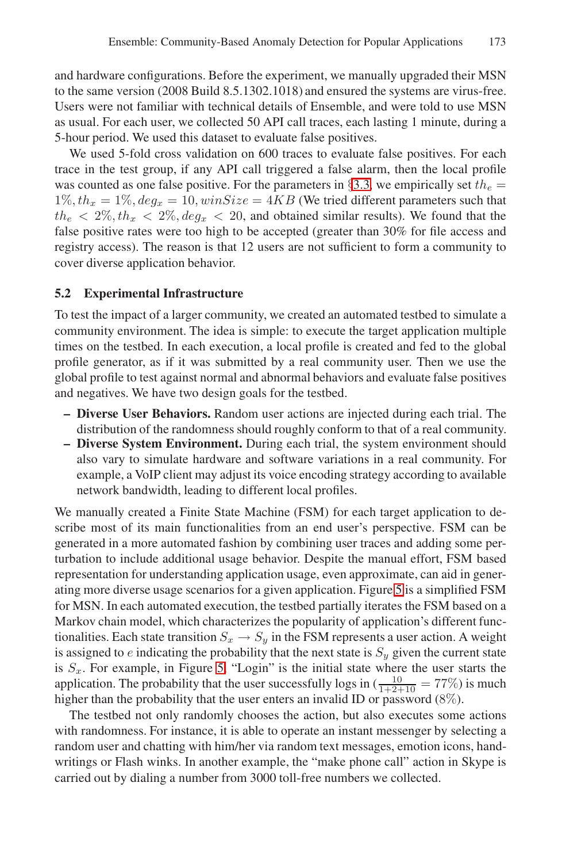and hardware configurations. Before [the](#page-5-0) experiment, we manually upgraded their MSN to the same version (2008 Build 8.5.1302.1018) and ensured the systems are virus-free. Users were not familiar with technical details of Ensemble, and were told to use MSN as usual. For each user, we collected 50 API call traces, each lasting 1 minute, during a 5-hour period. We used this dataset to evaluate false positives.

<span id="page-10-0"></span>We used 5-fold cross validation on 600 traces to evaluate false positives. For each trace in the test group, if any API call triggered a false alarm, then the local profile was counted as one false positive. For the parameters in §3.3, we empirically set  $th_e$  $1\%, th_x = 1\%, deg_x = 10, winSize = 4KB$  (We tried different parameters such that  $th_e < 2\%, th_x < 2\%, deg_x < 20$ , and obtained similar results). We found that the false positive rates were too high to be accepted (greater than 30% for file access and registry access). The reason is that 12 users are not sufficient to form a community to cover diverse application behavior.

#### **5.2 Experimental Infrastructure**

To test the impact of a larger community, we created an automated testbed to simulate a community environment. The idea is simple: to execute the target application multiple times on the testbed. In each execution, a local profile is created and fed to the global profile generator, as if it was submitted by a real community user. Then we use the global profile to test against normal and abnormal behaviors and evaluate false positives and negatives. We have two design goals for the testbed.

- **Diverse User Behaviors.** Random user actions are injected during each trial. The distribution of the randomness should roughly conform to that of a real community.
- **Diverse System Environment.** During each trial, the system environment should also vary to simulate hardware and software variations in a real community. For example, a VoIP client may adjust its voi[ce](#page-11-1) encoding strategy according to available network bandwidth, leading to different local profiles.

We manually created a Finite State Machine (FSM) for each target application to describe most of its main functionalities from an end user's perspective. FSM can be generated [in](#page-11-1) a more automated fashion by combining user traces and adding some perturbation to include additional usage behavior. Despite the manual effort, FSM based representation for understanding application usage, even approximate, can aid in generating more diverse usage scenarios for a given application. Figure 5 is a simplified FSM for MSN. In each automated execution, the testbed partially iterates the FSM based on a Markov chain model, which characterizes the popularity of application's different functionalities. Each state transition  $S_x \to S_y$  in the FSM represents a user action. A weight is assigned to  $e$  indicating the probability that the next state is  $S_y$  given the current state is  $S_x$ . For example, in Figure 5, "Login" is the initial state where the user starts the application. The probability that the user successfully logs in  $\left(\frac{10}{1+2+10} = 77\% \right)$  is much higher than the probability that the user enters an invalid ID or password (8%).

The testbed not only randomly chooses the action, but also executes some actions with randomness. For instance, it is able to operate an instant messenger by selecting a random user and chatting with him/her via random text messages, emotion icons, handwritings or Flash winks. In another example, the "make phone call" action in Skype is carried out by dialing a number from 3000 toll-free numbers we collected.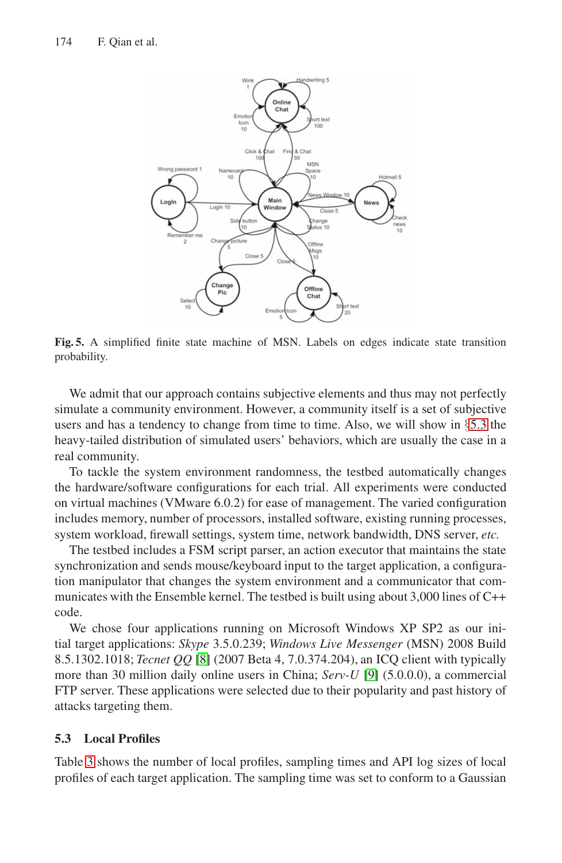

<span id="page-11-1"></span>**Fig. 5.** A simplified finite state machine of MSN. Labels on edges indicate state transition probability.

We admit that our approach contains subjective elements and thus may not perfectly simulate a community environment. However, a community itself is a set of subjective users and has a tendency to change from time to time. Also, we will show in  $\S 5.3$  the heavy-tailed distribution of simulated users' behaviors, which are usually the case in a real community.

To tackle the system environment randomness, the testbed automatically changes the hardware/software configurations for each trial. All experiments were conducted on virtual machines (VMware 6.0.2) for ease of management. The varied configuration includes memory, number of processors, installed software, existing running processes, syste[m w](#page-20-8)orkload, firewall settings, system time, network bandwidth, DNS server, *etc.*

The testbed includes a FSM script p[ars](#page-20-9)er, an action executor that maintains the state synchronization and sends mouse/keyboard input to the target application, a configuration manipulator that changes the system environment and a communicator that communicates with the Ensemble kernel. The testbed is built using about 3,000 lines of C++ code.

<span id="page-11-0"></span>We chose four applications running on Microsoft Windows XP SP2 as our initial target applications: *Skype* 3.5.0.239; *Windows Live Messenger* (MSN) 2008 Build 8.5.1302.1018; *Tecnet QQ* [8] (2007 Beta 4, 7.0.374.204), an ICQ client with typically more than 30 million daily online users in China; *Serv-U* [9] (5.0.0.0), a commercial FTP server. These applications were selected due to their popularity and past history of attacks targeting them.

#### **5.3 Local Profiles**

Table 3 shows the number of local profiles, sampling times and API log sizes of local profiles of each target application. The sampling time was set to conform to a Gaussian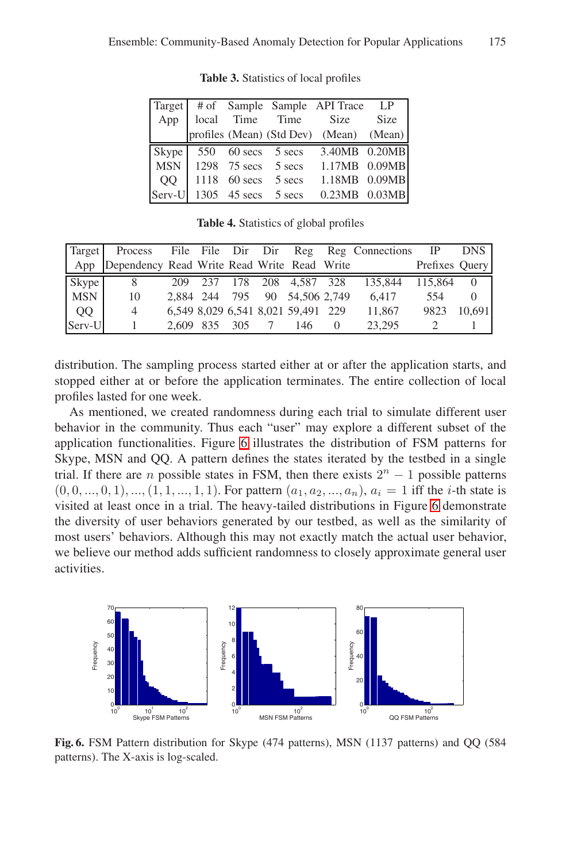|                 |  |                                 | Target # of Sample Sample API Trace LP  |  |
|-----------------|--|---------------------------------|-----------------------------------------|--|
| App             |  |                                 | local Time Time Size Size               |  |
|                 |  |                                 | profiles (Mean) (Std Dev) (Mean) (Mean) |  |
| Skype           |  | $\overline{550}$ 60 secs 5 secs | $3.40MB$ $0.20MB$                       |  |
|                 |  | MSN 1298 75 secs 5 secs         | 1.17MB 0.09MB                           |  |
| 00 <sub>o</sub> |  | 1118 60 secs 5 secs             | 1.18MB 0.09MB                           |  |
|                 |  | Serv-U 1305 45 secs 5 secs      | 0.23MB 0.03MB                           |  |

<span id="page-12-1"></span>**Table 3.** Statistics of local profiles

**Table 4.** Statistics of global profiles

| <b>Target</b> |                                             |           |       |                                    | Process File File Dir Dir Reg Reg Connections IP |                | DNS 1    |
|---------------|---------------------------------------------|-----------|-------|------------------------------------|--------------------------------------------------|----------------|----------|
| App           | Dependency Read Write Read Write Read Write |           |       |                                    |                                                  | Prefixes Query |          |
| Skype         | 8                                           |           |       | 209 237 178 208 4.587 328          | 135,844                                          | 115,864        | $\Omega$ |
| MSN 1         | 10                                          |           |       | 2,884 244 795 90 54,506 2,749      | 6.417                                            | 554            |          |
| QQ            | 4                                           |           |       | 6,549 8,029 6,541 8,021 59,491 229 | 11,867                                           | 9823           | 10.691   |
| Serv-U        |                                             | 2.609 835 | 305 7 | 146                                | 23,295                                           |                |          |

distribution. The sampling process started either at or after the application starts, and stopped either at or before the application termin[ate](#page-12-0)s. The entire collection of local profiles lasted for one week.

As mentioned, we created randomness during each trial to simulate different user behavior in the community. Thus each "user" may explore a different subset of the application functionalities. Figure 6 illustrates the distribution of FSM patterns for Skype, MSN and QQ. A pattern defines the states iterated by the testbed in a single trial. If there are *n* possible states in FSM, then there exists  $2^n - 1$  possible patterns  $(0, 0, ..., 0, 1), ..., (1, 1, ..., 1, 1)$ . For pattern  $(a_1, a_2, ..., a_n), a_i = 1$  iff the *i*-th state is visited at least once in a trial. The heavy-tailed distributions in Figure 6 demonstrate the diversity of user behaviors generated by our testbed, as well as the similarity of most users' behaviors. Although this may not exactly match the actual user behavior, we believe our method adds sufficient randomness to closely approximate general user activities.

<span id="page-12-0"></span>

**Fig. 6.** FSM Pattern distribution for Skype (474 patterns), MSN (1137 patterns) and QQ (584 patterns). The X-axis is log-scaled.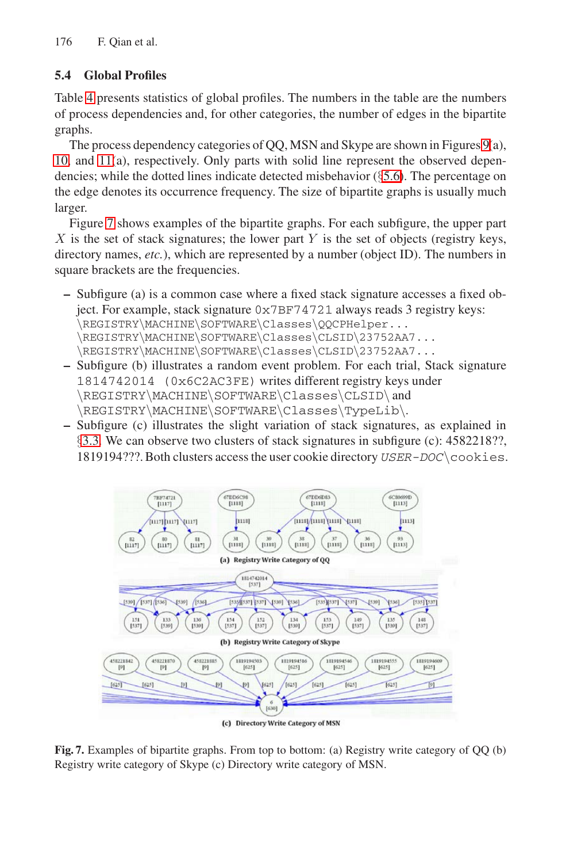### <span id="page-13-0"></span>**5.4 Global Profiles**

Table 4 presents statistics of global profiles. The numbers in the table are the numbers of process dependencies and, for other categories, the number of edges in the bipartite graphs.

The process dependency categories of QQ, MSN and Skype are shown in Figures 9(a), 10, and 11(a), respectively. Only parts with solid line represent the observed dependencies; while the dotted lines indicate detected misbehavior (§5.6). The percentage on the edge denotes its occurrence frequency. The size of bipartite graphs is usually much larger.

Figure 7 shows examples of the bipartite graphs. For each subfigure, the upper part *X* is the set of stack signatures; the lower part *Y* is the set of objects (registry keys, directory names, *etc.*), which are represented by a number (object ID). The numbers in square brackets are the frequencies.

- **–** Subfigure (a) is a common case where a fixed stack signature accesses a fixed object. For example, stack signature 0x7BF74721 always reads 3 registry keys: \REGISTRY\MACHINE\SOFTWARE\Classes\QQCPHelper... \REGISTRY\MACHINE\SOFTWARE\Classes\CLSID\23752AA7... \REGISTRY\MACHINE\SOFTWARE\Classes\CLSID\23752AA7...
- **–** Subfigure (b) illustrates a random event problem. For each trial, Stack signature 1814742014 (0x6C2AC3FE) writes different registry keys under \REGISTRY\MACHINE\SOFTWARE\Classes\CLSID\ and \REGISTRY\MACHINE\SOFTWARE\Classes\TypeLib\.
- **–** Subfigure (c) illustrates the slight variation of stack signatures, as explained in §3.3. We can observe two clusters of stack signatures in subfigure (c): 4582218??, 1819194???. Both clusters access the user cookie directory USER-DOC\cookies.



**Fig. 7.** Examples of bipartite graphs. From top to bottom: (a) Registry write category of QQ (b) Registry write category of Skype (c) Directory write category of MSN.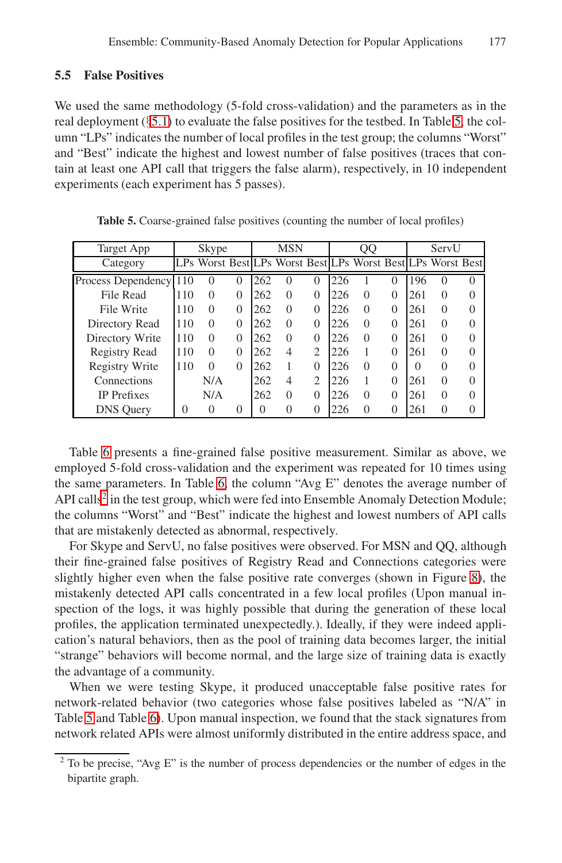### <span id="page-14-0"></span>**5.5 False Positives**

We used the same methodology (5-fold cross-validation) and the parameters as in the real deployment (§5.1) to evaluate the false positives for the testbed. In Table 5, the column "LPs" indicates the number of local profiles in the test group; the columns "Worst" and "Best" indicate the highest and lowest number of false positives (traces that contain at least one API call that triggers the false alarm), respectively, in 10 independent experiments (each experiment has 5 passes).

**Table 5.** Coarse-grained false positives (counting the number of local profiles)

| Target App             |     | Skype    |                   |                  | <b>MSN</b> |                |     | ററ |          |          | ServU                                                       |  |
|------------------------|-----|----------|-------------------|------------------|------------|----------------|-----|----|----------|----------|-------------------------------------------------------------|--|
| Category               |     |          |                   |                  |            |                |     |    |          |          | LPs Worst Best LPs Worst Best LPs Worst Best LPs Worst Best |  |
| Process Dependency 110 |     |          | $\theta$          | 262              | $\Omega$   | $\theta$       | 226 |    | $\theta$ | 196      | 0                                                           |  |
| File Read              | 110 | $\theta$ | $\Omega$          | 262              | $\Omega$   | 0              | 226 | 0  | $\theta$ | 261      | 0                                                           |  |
| File Write             | 110 | $\Omega$ | $\Omega$          | 262              | $\Omega$   | 0              | 226 | 0  | 0        | 261      | 0                                                           |  |
| Directory Read         | 110 | $\Omega$ | $\Omega$          | 262              | $\Omega$   | 0              | 226 | 0  | $\theta$ | 261      | 0                                                           |  |
| Directory Write        | 110 | $\Omega$ | $\Omega$          | 262              | $\Omega$   | 0              | 226 | 0  | 0        | 261      | 0                                                           |  |
| <b>Registry Read</b>   | 110 | $\Omega$ | $\theta$          | 262              | 4          | 2              | 226 |    | $\theta$ | 261      | $\Omega$                                                    |  |
| <b>Registry Write</b>  | 110 | 0        | $\Omega$          | 262              |            | $\theta$       | 226 | 0  | $\Omega$ | $\Omega$ |                                                             |  |
| Connections            |     | N/A      |                   | 262              | 4          | $\overline{c}$ | 226 |    | $\theta$ | 261      | $\Omega$                                                    |  |
| <b>IP</b> Prefixes     |     | N/A      |                   | 262              | $\Omega$   | $\Omega$       | 226 | 0  | $\Omega$ | 261      | 0                                                           |  |
| <b>DNS</b> Query       | 0   |          | $\mathbf{\Omega}$ | $\left( \right)$ |            | 0              | 226 |    | 0        | 261      |                                                             |  |

Table 6 presents a fine-grained false positive measure[me](#page-15-1)nt. Similar as above, we employed 5-fold cross-validation and the experiment was repeated for 10 times using the same parameters. In Table 6, the column "Avg E" denotes the average number of API calls<sup>2</sup> in the test group, which were fed into Ensemble Anomaly Detection Module; the columns "Worst" and "Best" indicate the highest and lowest numbers of API calls that are mistakenly detected as abnormal, respectively.

For Skype and ServU, no false positives were observed. For MSN and QQ, although their fine-grained false positives of Registry Read and Connections categories were slightly higher even when the false positive rate converges (shown in Figure 8), the mistakenly detected API calls concentrated in a few local profiles (Upon manual inspection of the logs, it was highly possible that during the generation of these local profiles, the application terminated unexpectedly.). Ideally, if they were indeed application's natural behaviors, then as the pool of training data becomes larger, the initial "strange" behaviors will become normal, and the large size of training data is exactly the advantage of a community.

When we were testing Skype, it produced unacceptable false positive rates for network-related behavior (two categories whose false positives labeled as "N/A" in Table 5 and Table 6). Upon manual inspection, we found that the stack signatures from network related APIs were almost uniformly distributed in the entire address space, and

 $2^2$  To be precise, "Avg E" is the number of process dependencies or the number of edges in the bipartite graph.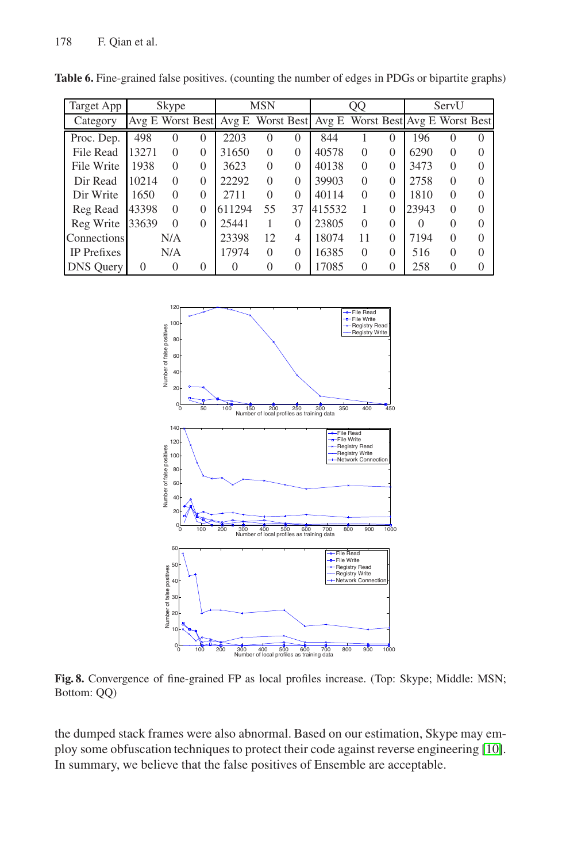<span id="page-15-0"></span>**Table 6.** Fine-grained false positives. (counting the number of edges in PDGs or bipartite graphs)

| Target App         |          | Skype    |          |                                                                     | MSN      |          |        | OO       |          |       | ServU    |          |
|--------------------|----------|----------|----------|---------------------------------------------------------------------|----------|----------|--------|----------|----------|-------|----------|----------|
| Category           |          |          |          | Avg E Worst Best Avg E Worst Best Avg E Worst Best Avg E Worst Best |          |          |        |          |          |       |          |          |
| Proc. Dep.         | 498      | $\theta$ | $\theta$ | 2203                                                                | $\Omega$ | $\Omega$ | 844    |          | $\theta$ | 196   | 0        | $\Omega$ |
| File Read          | 13271    | 0        | $\theta$ | 31650                                                               | 0        | $\Omega$ | 40578  | $\Omega$ | $\Omega$ | 6290  | $\Omega$ | $\Omega$ |
| File Write         | 1938     | $\Omega$ | $\Omega$ | 3623                                                                | $\Omega$ | $\Omega$ | 40138  | $\Omega$ | 0        | 3473  | $\Omega$ | $\Omega$ |
| Dir Read           | 10214    | $\Omega$ | $\theta$ | 22292                                                               | $\Omega$ | $\Omega$ | 39903  | $\Omega$ | 0        | 2758  | $\Omega$ | $\Omega$ |
| Dir Write          | 1650     | 0        | $\theta$ | 2711                                                                | $\Omega$ | $\Omega$ | 40114  | $\Omega$ | $\Omega$ | 1810  | 0        | $\Omega$ |
| Reg Read           | 43398    | $\Omega$ | $\theta$ | 611294                                                              | 55       | 37       | 415532 | 1        | $\theta$ | 23943 | $\Omega$ |          |
| Reg Write          | 33639    | $\Omega$ | $\Omega$ | 25441                                                               | 1        | $\Omega$ | 23805  | $\Omega$ | 0        | 0     | 0        |          |
| Connections        |          | N/A      |          | 23398                                                               | 12       | 4        | 18074  | 11       | $\theta$ | 7194  | $\theta$ | ∩        |
| <b>IP</b> Prefixes |          | N/A      |          | 17974                                                               | $\Omega$ | $\Omega$ | 16385  | $\Omega$ | $\theta$ | 516   | $\Omega$ | ∩        |
| <b>DNS</b> Query   | $\Omega$ | $\Omega$ | $\Omega$ | $\Omega$                                                            | $\Omega$ | $\Omega$ | 17085  | $\Omega$ | 0        | 258   | 0        |          |



<span id="page-15-1"></span>**Fig. 8.** Convergence of fine-grained FP as local profiles increase. (Top: Skype; Middle: MSN; Bottom: QQ)

the dumped stack frames were also abnormal. Based on our estimation, Skype may employ some obfuscation techniques to protect their code against reverse engineering [10]. In summary, we believe that the false positives of Ensemble are acceptable.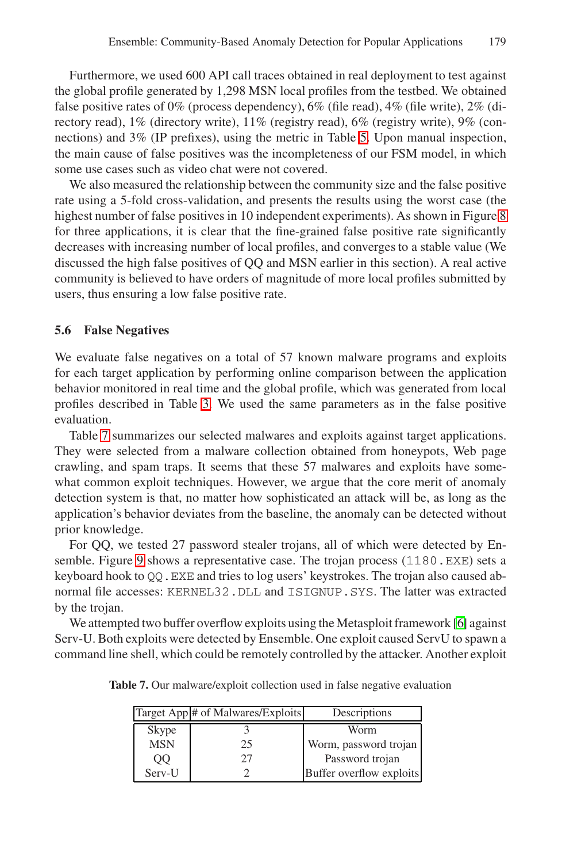Furthermore, we used 600 API call traces obtained in real deployment to test against the global profile generated by 1,298 MSN local profiles from th[e t](#page-15-1)estbed. We obtained false positive rates of 0% (process dependency), 6% (file read), 4% (file write), 2% (directory read), 1% (directory write), 11% (registry read), 6% (registry write), 9% (connections) and 3% (IP prefixes), using the metric in Table 5. Upon manual inspection, the main cause of false positives was the incompleteness of our FSM model, in which some use cases such as video chat were not covered.

We also measured the relationship between the community size and the false positive rate using a 5-fold cross-validation, and presents the results using the worst case (the highest number of false positives in 10 independent experiments). As shown in Figure 8 for three applications, it is clear that the fine-grained false positive rate significantly decreases with increasing number of local profiles, and converges to a stable value (We discussed the high false positives of QQ and MSN earlier in this section). A real active comm[uni](#page-12-1)ty is believed to have orders of magnitude of more local profiles submitted by users, thus ensuring a low false positive rate.

#### **5.6 False Negatives**

We evaluate false negatives on a total of 57 known malware programs and exploits for each target application by performing online comparison between the application behavior monitored in real time and the global profile, which was generated from local profiles described in Table 3. We used the same parameters as in the false positive evaluation.

Table 7 summarizes our selected malwares and exploits against target applications. They were selected from a malware collection obtained from honeypots, Web page crawling, and spam traps. It seems that these 57 malwares and exploits have somewhat common exploit techniques. However, we argue that the core merit of anomaly detection system is that, no matter how sophisticated a[n a](#page-20-10)ttack will be, as long as the application's behavior deviates from the baseline, the anomaly can be detected without prior knowledge.

For QQ, we tested 27 password stealer trojans, all of which were detected by Ensemble. Figure 9 shows a representative case. The trojan process (1180.EXE) sets a keyboard hook to QQ.EXE and tries to log users' keystrokes. The trojan also caused abnormal file accesses: KERNEL32.DLL and ISIGNUP.SYS. The latter was extracted by the trojan.

We attempted two buffer overflow exploits using the Metasploit framework [6] against Serv-U. Both exploits were detected by Ensemble. One exploit caused ServU to spawn a command line shell, which could be remotely controlled by the attacker. Another exploit

**Table 7.** Our malware/exploit collection used in false negative evaluation

|            | Target App # of Malwares/Exploits | Descriptions             |
|------------|-----------------------------------|--------------------------|
| Skype      |                                   | Worm                     |
| <b>MSN</b> | 25                                | Worm, password trojan    |
| <b>OC</b>  | $2^r1$                            | Password trojan          |
| Serv-U     |                                   | Buffer overflow exploits |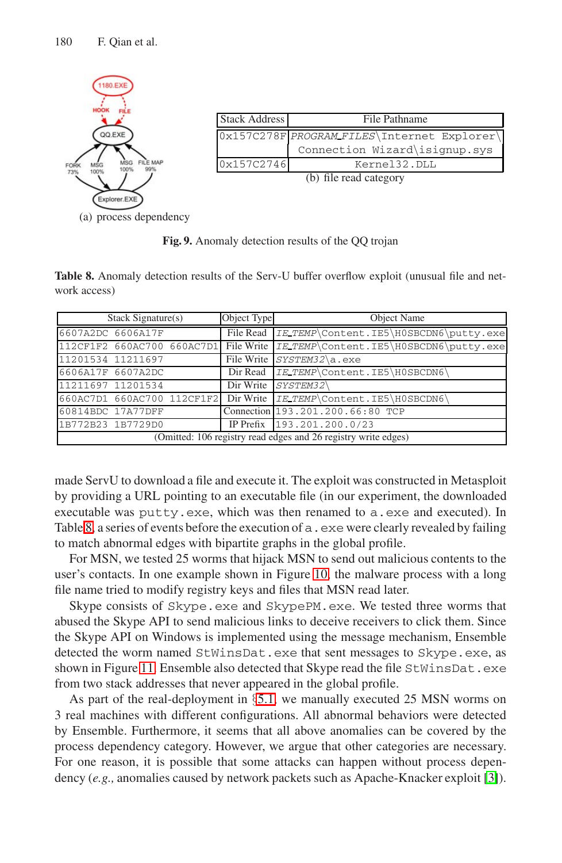

**Fig. 9.** Anomaly detection results of the QQ trojan

**Table 8.** Anomaly detection results of the Serv-U buffer overflow exploit (unusual file and network access)

| Stack Signature(s) | Object Type                                                    | Object Name                                                                  |  |  |  |  |  |  |
|--------------------|----------------------------------------------------------------|------------------------------------------------------------------------------|--|--|--|--|--|--|
| 6607A2DC 6606A17F  |                                                                | File Read IE TEMP\Content. IE5\H0SBCDN6\putty.exe                            |  |  |  |  |  |  |
|                    |                                                                | 112CF1F2 660AC700 660AC7D1 File Write IE_TEMP\Content.IE5\H0SBCDN6\putty.exe |  |  |  |  |  |  |
| 11201534 11211697  |                                                                | File Write SYSTEM32\a.exe                                                    |  |  |  |  |  |  |
| 6606A17F 6607A2DC  |                                                                | Dir Read IE TEMP\Content. IE5\H0SBCDN6\                                      |  |  |  |  |  |  |
| 11211697 11201534  |                                                                | Dir Write $ SYSTEM32$                                                        |  |  |  |  |  |  |
|                    |                                                                | 660AC7D1 660AC700 112CF1F2 Dir Write IE-TEMP\Content.IE5\H0SBCDN6\           |  |  |  |  |  |  |
| 60814BDC 17A77DFF  |                                                                | Connection 193.201.200.66:80 TCP                                             |  |  |  |  |  |  |
| 1B772B23 1B7729D0  |                                                                | IP Prefix 193.201.200.0/23                                                   |  |  |  |  |  |  |
|                    | (Omitted: 106 registry read edges and 26 registry write edges) |                                                                              |  |  |  |  |  |  |

made ServU to download a file and execute it. The exploit was constructed in Metasploit by providing a URL pointing to an executable file (in our experiment, the downloaded executable was putty.exe, which was then renamed to a.exe and executed). In Table 8, a series of events before the execution of  $a \cdot e^x$  were clearly revealed by failing to match abnormal edges with bipartite graphs in the global profile.

For MSN, we tested 25 worms that hijack MSN to send out malicious contents to the user's contacts. I[n one](#page-9-0) example shown in Figure 10, the malware process with a long file name tried to modify registry keys and files that MSN read later.

Skype consists of Skype.exe and SkypePM.exe. We tested three worms that abused the Skype API to send malicious links to deceive receivers to click them. Since the Skype API on Windows is implemented using the message mechanism, Ensemble detected the worm named StWinsDat.exe that sent mess[age](#page-20-11)s to Skype.exe, as shown in Figure 11. Ensemble also detected that Skype read the file StWinsDat.exe from two stack addresses that never appeared in the global profile.

As part of the real-deployment in §5.1, we manually executed 25 MSN worms on 3 real machines with different configurations. All abnormal behaviors were detected by Ensemble. Furthermore, it seems that all above anomalies can be covered by the process dependency category. However, we argue that other categories are necessary. For one reason, it is possible that some attacks can happen without process dependency (*e.g.,* anomalies caused by network packets such as Apache-Knacker exploit [3]).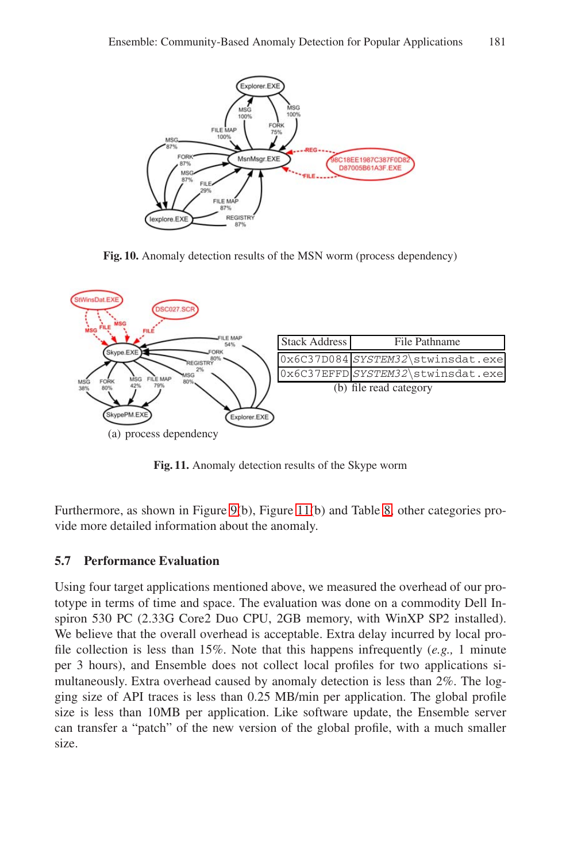

**Fig. 10.** Anomaly detection results of the MSN worm (process dependency)



**Fig. 11.** Anomaly detection results of the Skype worm

<span id="page-18-0"></span>Furthermore, as shown in Figure 9(b), Figure 11(b) and Table 8, other categories provide more detailed information about the anomaly.

### **5.7 Performance Evaluation**

Using four target applications mentioned above, we measured the overhead of our prototype in terms of time and space. The evaluation was done on a commodity Dell Inspiron 530 PC (2.33G Core2 Duo CPU, 2GB memory, with WinXP SP2 installed). We believe that the overall overhead is acceptable. Extra delay incurred by local profile collection is less than 15%. Note that this happens infrequently (*e.g.,* 1 minute per 3 hours), and Ensemble does not collect local profiles for two applications simultaneously. Extra overhead caused by anomaly detection is less than 2%. The logging size of API traces is less than 0.25 MB/min per application. The global profile size is less than 10MB per application. Like software update, the Ensemble server can transfer a "patch" of the new version of the global profile, with a much smaller size.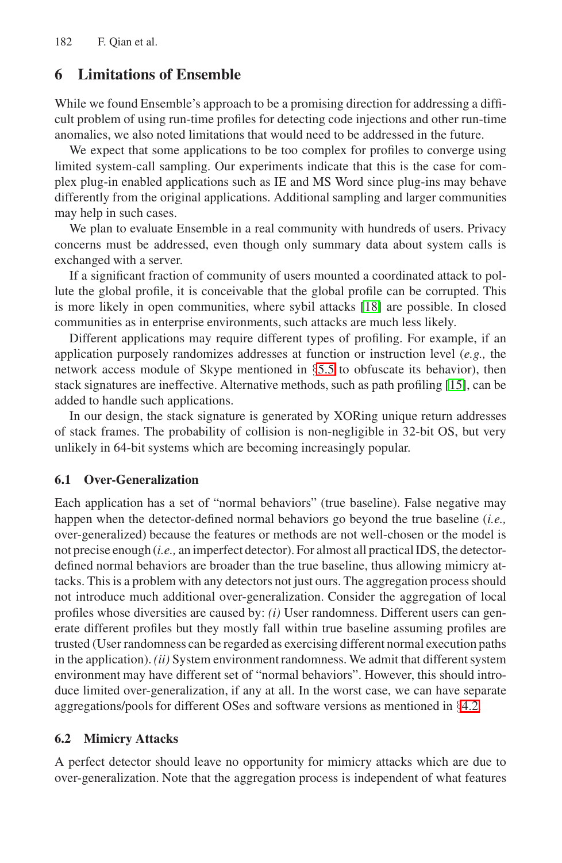# <span id="page-19-0"></span>**6 Limitations of Ensemble**

While we found Ensemble's approach to be a promising direction for addressing a difficult problem of using run-time profiles for detecting code injections and other run-time anomalies, we also noted limitations that would need to be addressed in the future.

We expect that some applications to be too complex for profiles to converge using limited system-call sampling. Our experiments indicate that this is the case for complex plug-in enabled applications suc[h as](#page-21-14) IE and MS Word since plug-ins may behave differently from the original applications. Additional sampling and larger communities may help in such cases.

We plan to evaluate Ensemble in a real community with hundreds of users. Privacy concerns must be addressed[, eve](#page-14-0)n though only summary data about system calls is exchanged with a server.

If a significant fraction of community of users mou[nted](#page-20-12) a coordinated attack to pollute the global profile, it is conceivable that the global profile can be corrupted. This is more likely in open communities, where sybil attacks [18] are possible. In closed communities as in enterprise environments, such attacks are much less likely.

Different applications may require different types of profiling. For example, if an application purposely randomizes addresses at function or instruction level (*e.g.,* the network access module of Skype mentioned in  $\S 5.5$  to obfuscate its behavior), then stack signatures are ineffective. Alternative methods, such as path profiling [15], can be added to handle such applications.

In our design, the stack signature is generated by XORing unique return addresses of stack frames. The probability of collision is non-negligible in 32-bit OS, but very unlikely in 64-bit systems which are becoming increasingly popular.

### **6.1 Over-Generalization**

Each application has a set of "normal behaviors" (true baseline). False negative may happen when the detector-defined normal behaviors go beyond the true baseline (*i.e.,* over-generalized) because the features or methods are not well-chosen or the model is not precise enough (*i.e.,* an imperfect detector). For almost all practical IDS, the detectordefined normal behaviors are broader than the true baseline, thus allowing mimicry attacks. This is a problem with any detectors not just ours. T[he a](#page-8-0)ggregation process should not introduce much additional over-generalization. Consider the aggregation of local profiles whose diversities are caused by: *(i)* User randomness. Different users can generate different profiles but they mostly fall within true baseline assuming profiles are trusted (User randomness can be regarded as exercising different normal execution paths in the application). *(ii)* System environment randomness. We admit that different system environment may have different set of "normal behaviors". However, this should introduce limited over-generalization, if any at all. In the worst case, we can have separate aggregations/pools for different OSes and software versions as mentioned in §4.2.

#### **6.2 Mimicry Attacks**

A perfect detector should leave no opportunity for mimicry attacks which are due to over-generalization. Note that the aggregation process is independent of what features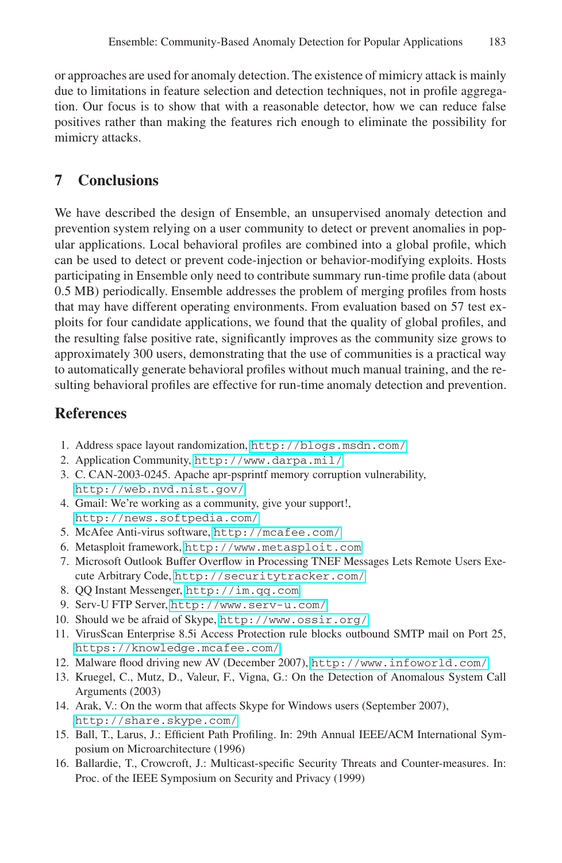or approaches are used for anomaly detection. The existence of mimicry attack is mainly due to limitations in feature selection and detection techniques, not in profile aggregation. Our focus is to show that with a reasonable detector, how we can reduce false positives rather than making the features rich enough to eliminate the possibility for mimicry attacks.

# **7 Conclusions**

We have described the design of Ensemble, an unsupervised anomaly detection and prevention system relying on a user community to detect or prevent anomalies in popular applications. Local behavioral profiles are combined into a global profile, which can be used to detect or prevent code-injection or behavior-modifying exploits. Hosts participating in Ensemble only need to contribute summary run-time profile data (about 0.5 MB) periodically. Ensemble addresses the problem of merging profiles from hosts that may have different operating environments. From evaluation based on 57 test exploits for four c[andidate applications, we found](http://blogs.msdn.com/) that the quality of global profiles, and the re[sulting false positive rate, sig](http://www.darpa.mil/)nificantly improves as the community size grows to approximately 300 users, demonstrating that the use of communities is a practical way [to automatically](http://web.nvd.nist.gov/) generate behavioral profiles without much manual training, and the re[sulting](http://news.softpedia.com/) [behavioral](http://news.softpedia.com/) profiles are effective for run-time anomaly detection and prevention.

### <span id="page-20-11"></span><span id="page-20-10"></span><span id="page-20-6"></span><span id="page-20-5"></span><span id="page-20-3"></span>**Re[fere](http://www.metasploit.com)[nces](http://mcafee.com/)**

- <span id="page-20-8"></span>1. Address space layout randomization, http://blogs.msdn.com/
- [2. Application Community,](http://securitytracker.com/) http://www.darpa.mil/
- <span id="page-20-9"></span>3. [C.](http://im.qq.com) [CAN-2003-0245.](http://im.qq.com) [Apa](http://im.qq.com)che apr-psprintf memory corruption vulnerability, [http://web.nvd.nist.g](http://www.serv-u.com/)ov/
- <span id="page-20-7"></span>4. Gmail: [We're](http://www.ossir.org/) [working](http://www.ossir.org/) [as](http://www.ossir.org/) [a](http://www.ossir.org/) [community,](http://www.ossir.org/) give your support!, http://news.softpedia.com/
- <span id="page-20-4"></span>[5.](https://knowledge.mcafee.com/) [McAfee](https://knowledge.mcafee.com/) [Anti-virus](https://knowledge.mcafee.com/) [so](https://knowledge.mcafee.com/)ftware, http://mcafee.com/
- <span id="page-20-1"></span>6. Metasploit framework, ht[tp://www.metasploit.com](http://www.infoworld.com/)
- 7. Microsoft Outlook Buffer Overflow in Processing TNEF Messages Lets Remote Users Execute Arbitrary Code, http://securitytracker.com/
- <span id="page-20-0"></span>8. QQ Instant Messenger, http://im.qq.com
- [9.](http://share.skype.com/) [Serv-U](http://share.skype.com/) [FTP](http://share.skype.com/) Server, http://www.serv-u.com/
- <span id="page-20-12"></span>10. Should we be afraid of Skype, http://www.ossir.org/
- <span id="page-20-2"></span>11. VirusScan Enterprise 8.5i Access Protection rule blocks outbound SMTP mail on Port 25, https://knowledge.mcafee.com/
- 12. Malware flood driving new AV (December 2007), http://www.infoworld.com/
- 13. Kruegel, C., Mutz, D., Valeur, F., Vigna, G.: On the Detection of Anomalous System Call Arguments (2003)
- 14. Arak, V.: On the worm that affects Skype for Windows users (September 2007), http://share.skype.com/
- 15. Ball, T., Larus, J.: Efficient Path Profiling. In: 29th Annual IEEE/ACM International Symposium on Microarchitecture (1996)
- 16. Ballardie, T., Crowcroft, J.: Multicast-specific Security Threats and Counter-measures. In: Proc. of the IEEE Symposium on Security and Privacy (1999)